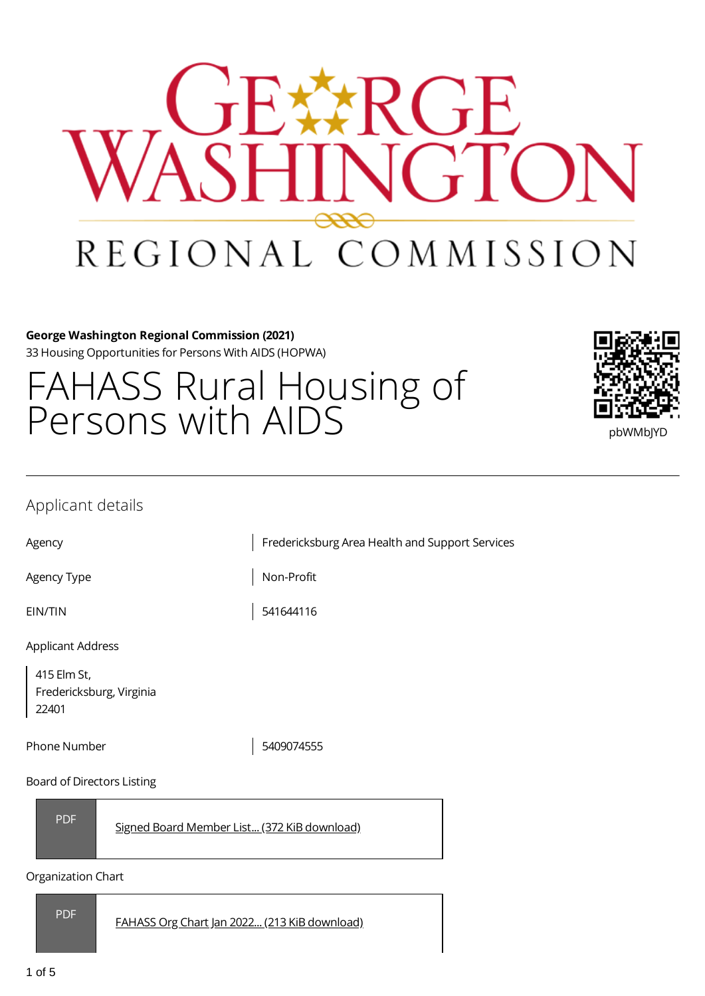

#### **George Washington Regional Commission (2021)** 33 Housing Opportunities for Persons With AIDS (HOPWA)

# FAHASS Rural Housing of Persons with AIDS Persons with  $\frac{1}{2}$



## Applicant details

Agency **Fredericksburg Area Health and Support Services** 

Agency Type Non-Profit

EIN/TIN 541644116

Applicant Address

415 Elm St, Fredericksburg, Virginia 22401

Phone Number 1 2009074555

#### Board of Directors Listing



Signed Board Member List... (372 KiB [download\)](https://gwregion.grantplatform.com/r/file/aSzrtZCIamcEjcCA)

#### Organization Chart

PDF

FAHASS Org Chart Jan 2022... (213 KiB [download\)](https://gwregion.grantplatform.com/r/file/ZRt3x5P1FDUbeUiS)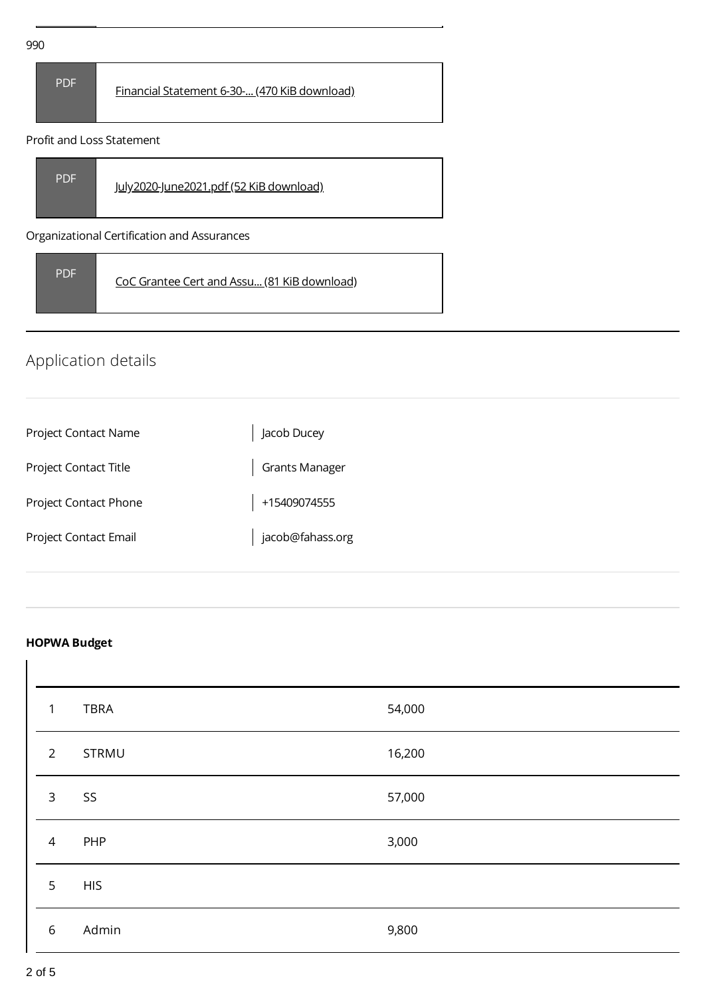| 990 |            |                                              |  |
|-----|------------|----------------------------------------------|--|
|     | <b>PDF</b> | Financial Statement 6-30- (470 KiB download) |  |

#### Profit and Loss Statement



Organizational Certification and Assurances

| <b>PDF</b> | CoC Grantee Cert and Assu (81 KiB download) |
|------------|---------------------------------------------|
|------------|---------------------------------------------|

# Application details

| Project Contact Name  | Jacob Ducey           |
|-----------------------|-----------------------|
| Project Contact Title | <b>Grants Manager</b> |
| Project Contact Phone | +15409074555          |
| Project Contact Email | jacob@fahass.org      |

## **HOPWA Budget**

| $\mathbf{1}$   | <b>TBRA</b> | 54,000 |
|----------------|-------------|--------|
| $\overline{2}$ | STRMU       | 16,200 |
| $\mathsf{3}$   | SS          | 57,000 |
| $\overline{4}$ | PHP         | 3,000  |
| 5              | <b>HIS</b>  |        |
| $\,$ 6 $\,$    | Admin       | 9,800  |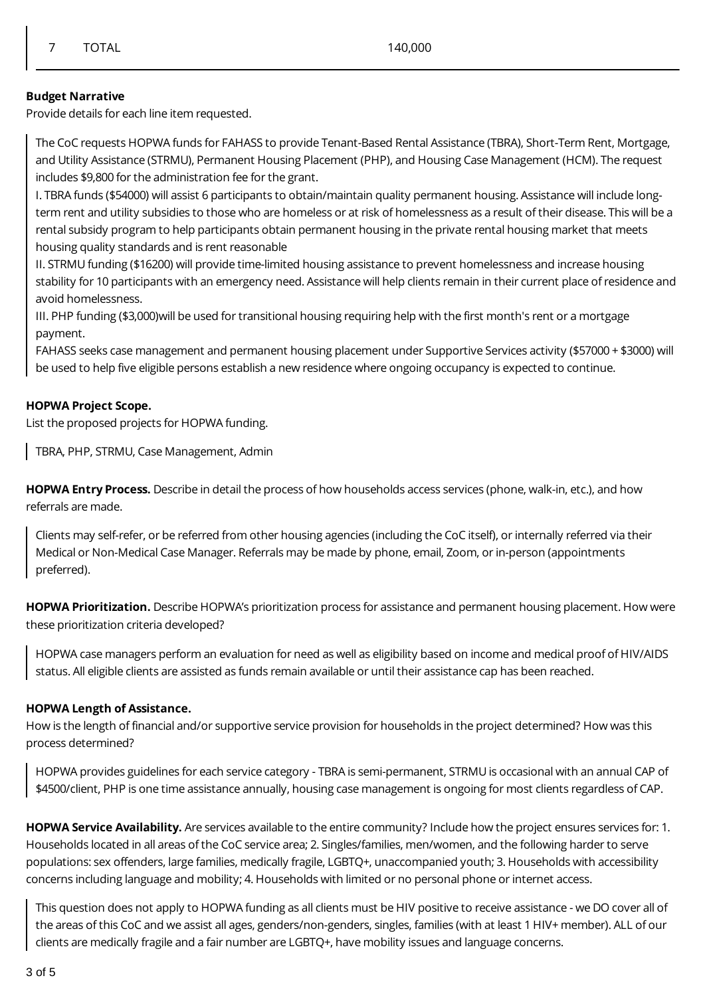#### **Budget Narrative**

Provide details for each line item requested.

The CoC requests HOPWA funds for FAHASS to provide Tenant-Based Rental Assistance (TBRA), Short-Term Rent, Mortgage, and Utility Assistance (STRMU), Permanent Housing Placement (PHP), and Housing Case Management (HCM). The request includes \$9,800 for the administration fee for the grant.

I. TBRA funds (\$54000) will assist 6 participants to obtain/maintain quality permanent housing. Assistance will include longterm rent and utility subsidies to those who are homeless or at risk of homelessness as a result of their disease. This will be a rental subsidy program to help participants obtain permanent housing in the private rental housing market that meets housing quality standards and is rent reasonable

II. STRMU funding (\$16200) will provide time-limited housing assistance to prevent homelessness and increase housing stability for 10 participants with an emergency need. Assistance will help clients remain in their current place of residence and avoid homelessness.

III. PHP funding (\$3,000)will be used for transitional housing requiring help with the first month's rent or a mortgage payment.

FAHASS seeks case management and permanent housing placement under Supportive Services activity (\$57000 + \$3000) will be used to help five eligible persons establish a new residence where ongoing occupancy is expected to continue.

#### **HOPWA Project Scope.**

List the proposed projects for HOPWA funding.

TBRA, PHP, STRMU, Case Management, Admin

**HOPWA Entry Process.** Describe in detail the process of how households access services (phone, walk-in, etc.), and how referrals are made.

Clients may self-refer, or be referred from other housing agencies (including the CoC itself), or internally referred via their Medical or Non-Medical Case Manager. Referrals may be made by phone, email, Zoom, or in-person (appointments preferred).

**HOPWA Prioritization.** Describe HOPWA's prioritization process for assistance and permanent housing placement. How were these prioritization criteria developed?

HOPWA case managers perform an evaluation for need as well as eligibility based on income and medical proof of HIV/AIDS status. All eligible clients are assisted as funds remain available or until their assistance cap has been reached.

#### **HOPWA Length of Assistance.**

How is the length of financial and/or supportive service provision for households in the project determined? How was this process determined?

HOPWA provides guidelines for each service category - TBRA is semi-permanent, STRMU is occasional with an annual CAP of \$4500/client, PHP is one time assistance annually, housing case management is ongoing for most clients regardless of CAP.

**HOPWA Service Availability.** Are services available to the entire community? Include how the project ensures services for: 1. Households located in all areas of the CoC service area; 2. Singles/families, men/women, and the following harder to serve populations: sex offenders, large families, medically fragile, LGBTQ+, unaccompanied youth; 3. Households with accessibility concerns including language and mobility; 4. Households with limited or no personal phone or internet access.

This question does not apply to HOPWA funding as all clients must be HIV positive to receive assistance - we DO cover all of the areas of this CoC and we assist all ages, genders/non-genders, singles, families (with at least 1 HIV+ member). ALL of our clients are medically fragile and a fair number are LGBTQ+, have mobility issues and language concerns.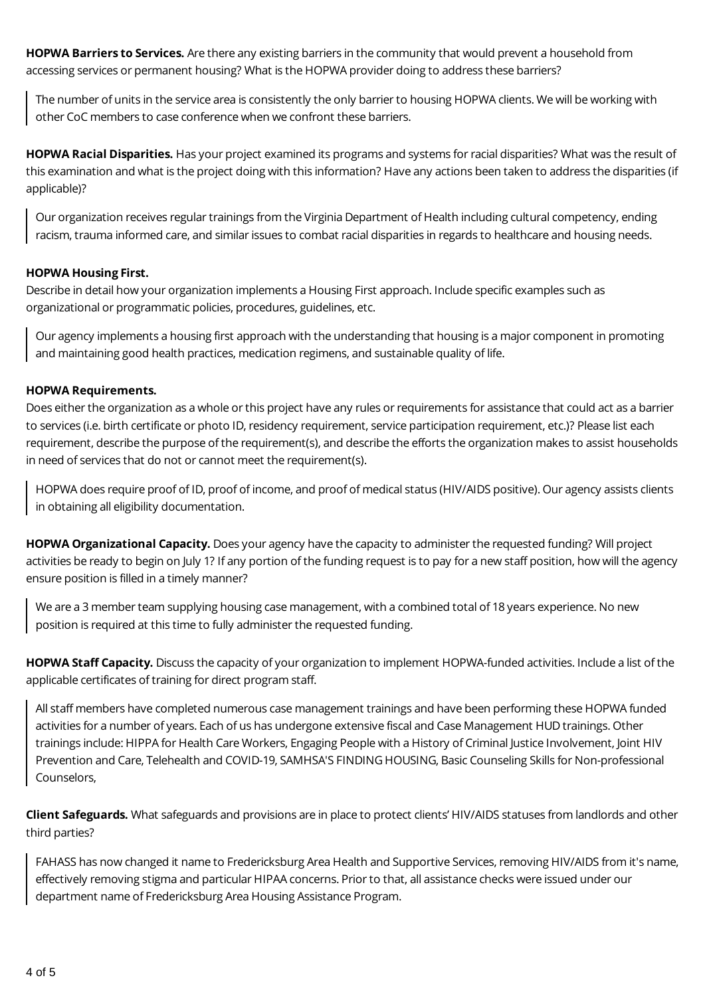**HOPWA Barriers to Services.** Are there any existing barriers in the community that would prevent a household from accessing services or permanent housing? What is the HOPWA provider doing to address these barriers?

The number of units in the service area is consistently the only barrier to housing HOPWA clients. We will be working with other CoC members to case conference when we confront these barriers.

**HOPWA Racial Disparities.** Has your project examined its programs and systems for racial disparities? What was the result of this examination and what is the project doing with this information? Have any actions been taken to address the disparities (if applicable)?

Our organization receives regular trainings from the Virginia Department of Health including cultural competency, ending racism, trauma informed care, and similar issues to combat racial disparities in regards to healthcare and housing needs.

#### **HOPWA Housing First.**

Describe in detail how your organization implements a Housing First approach. Include specific examples such as organizational or programmatic policies, procedures, guidelines, etc.

Our agency implements a housing first approach with the understanding that housing is a major component in promoting and maintaining good health practices, medication regimens, and sustainable quality of life.

#### **HOPWA Requirements.**

Does either the organization as a whole or this project have any rules or requirements for assistance that could act as a barrier to services (i.e. birth certificate or photo ID, residency requirement, service participation requirement, etc.)? Please list each requirement, describe the purpose of the requirement(s), and describe the efforts the organization makes to assist households in need of services that do not or cannot meet the requirement(s).

HOPWA does require proof of ID, proof of income, and proof of medical status (HIV/AIDS positive). Our agency assists clients in obtaining all eligibility documentation.

**HOPWA Organizational Capacity.** Does your agency have the capacity to administer the requested funding? Will project activities be ready to begin on July 1? If any portion of the funding request is to pay for a new staff position, how will the agency ensure position is filled in a timely manner?

We are a 3 member team supplying housing case management, with a combined total of 18 years experience. No new position is required at this time to fully administer the requested funding.

**HOPWA Staff Capacity.** Discuss the capacity of your organization to implement HOPWA-funded activities. Include a list of the applicable certificates of training for direct program staff.

All staff members have completed numerous case management trainings and have been performing these HOPWA funded activities for a number of years. Each of us has undergone extensive fiscal and Case Management HUD trainings. Other trainings include: HIPPA for Health Care Workers, Engaging People with a History of Criminal Justice Involvement, Joint HIV Prevention and Care, Telehealth and COVID-19, SAMHSA'S FINDING HOUSING, Basic Counseling Skills for Non-professional Counselors,

**Client Safeguards.** What safeguards and provisions are in place to protect clients' HIV/AIDS statuses from landlords and other third parties?

FAHASS has now changed it name to Fredericksburg Area Health and Supportive Services, removing HIV/AIDS from it's name, effectively removing stigma and particular HIPAA concerns. Prior to that, all assistance checks were issued under our department name of Fredericksburg Area Housing Assistance Program.